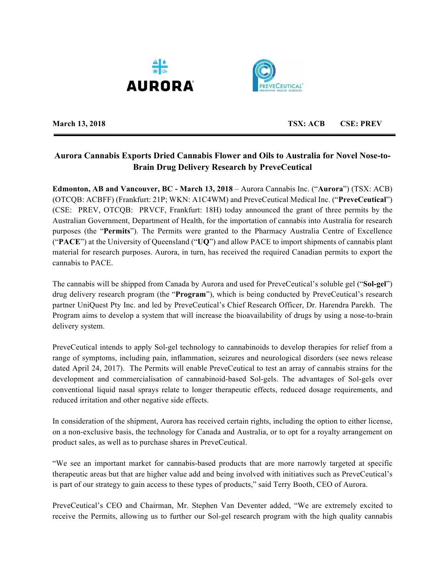



**March 13, 2018 TSX: ACB CSE: PREV**

# **Aurora Cannabis Exports Dried Cannabis Flower and Oils to Australia for Novel Nose-to-Brain Drug Delivery Research by PreveCeutical**

**Edmonton, AB and Vancouver, BC - March 13, 2018** – Aurora Cannabis Inc. ("**Aurora**") (TSX: ACB) (OTCQB: ACBFF) (Frankfurt: 21P; WKN: A1C4WM) and PreveCeutical Medical Inc. ("**PreveCeutical**") (CSE: PREV, OTCQB: PRVCF, Frankfurt: 18H) today announced the grant of three permits by the Australian Government, Department of Health, for the importation of cannabis into Australia for research purposes (the "**Permits**"). The Permits were granted to the Pharmacy Australia Centre of Excellence ("**PACE**") at the University of Queensland ("**UQ**") and allow PACE to import shipments of cannabis plant material for research purposes. Aurora, in turn, has received the required Canadian permits to export the cannabis to PACE.

The cannabis will be shipped from Canada by Aurora and used for PreveCeutical's soluble gel ("**Sol-gel**") drug delivery research program (the "**Program**"), which is being conducted by PreveCeutical's research partner UniQuest Pty Inc. and led by PreveCeutical's Chief Research Officer, Dr. Harendra Parekh. The Program aims to develop a system that will increase the bioavailability of drugs by using a nose-to-brain delivery system.

PreveCeutical intends to apply Sol-gel technology to cannabinoids to develop therapies for relief from a range of symptoms, including pain, inflammation, seizures and neurological disorders (see news release dated April 24, 2017). The Permits will enable PreveCeutical to test an array of cannabis strains for the development and commercialisation of cannabinoid-based Sol-gels. The advantages of Sol-gels over conventional liquid nasal sprays relate to longer therapeutic effects, reduced dosage requirements, and reduced irritation and other negative side effects.

In consideration of the shipment, Aurora has received certain rights, including the option to either license, on a non-exclusive basis, the technology for Canada and Australia, or to opt for a royalty arrangement on product sales, as well as to purchase shares in PreveCeutical.

"We see an important market for cannabis-based products that are more narrowly targeted at specific therapeutic areas but that are higher value add and being involved with initiatives such as PreveCeutical's is part of our strategy to gain access to these types of products," said Terry Booth, CEO of Aurora.

PreveCeutical's CEO and Chairman, Mr. Stephen Van Deventer added, "We are extremely excited to receive the Permits, allowing us to further our Sol-gel research program with the high quality cannabis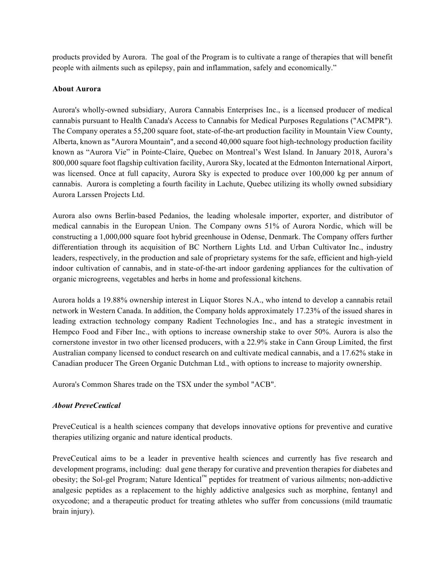products provided by Aurora. The goal of the Program is to cultivate a range of therapies that will benefit people with ailments such as epilepsy, pain and inflammation, safely and economically."

### **About Aurora**

Aurora's wholly-owned subsidiary, Aurora Cannabis Enterprises Inc., is a licensed producer of medical cannabis pursuant to Health Canada's Access to Cannabis for Medical Purposes Regulations ("ACMPR"). The Company operates a 55,200 square foot, state-of-the-art production facility in Mountain View County, Alberta, known as "Aurora Mountain", and a second 40,000 square foot high-technology production facility known as "Aurora Vie" in Pointe-Claire, Quebec on Montreal's West Island. In January 2018, Aurora's 800,000 square foot flagship cultivation facility, Aurora Sky, located at the Edmonton International Airport, was licensed. Once at full capacity, Aurora Sky is expected to produce over 100,000 kg per annum of cannabis. Aurora is completing a fourth facility in Lachute, Quebec utilizing its wholly owned subsidiary Aurora Larssen Projects Ltd.

Aurora also owns Berlin-based Pedanios, the leading wholesale importer, exporter, and distributor of medical cannabis in the European Union. The Company owns 51% of Aurora Nordic, which will be constructing a 1,000,000 square foot hybrid greenhouse in Odense, Denmark. The Company offers further differentiation through its acquisition of BC Northern Lights Ltd. and Urban Cultivator Inc., industry leaders, respectively, in the production and sale of proprietary systems for the safe, efficient and high-yield indoor cultivation of cannabis, and in state-of-the-art indoor gardening appliances for the cultivation of organic microgreens, vegetables and herbs in home and professional kitchens.

Aurora holds a 19.88% ownership interest in Liquor Stores N.A., who intend to develop a cannabis retail network in Western Canada. In addition, the Company holds approximately 17.23% of the issued shares in leading extraction technology company Radient Technologies Inc., and has a strategic investment in Hempco Food and Fiber Inc., with options to increase ownership stake to over 50%. Aurora is also the cornerstone investor in two other licensed producers, with a 22.9% stake in Cann Group Limited, the first Australian company licensed to conduct research on and cultivate medical cannabis, and a 17.62% stake in Canadian producer The Green Organic Dutchman Ltd., with options to increase to majority ownership.

Aurora's Common Shares trade on the TSX under the symbol "ACB".

## *About PreveCeutical*

PreveCeutical is a health sciences company that develops innovative options for preventive and curative therapies utilizing organic and nature identical products.

PreveCeutical aims to be a leader in preventive health sciences and currently has five research and development programs, including: dual gene therapy for curative and prevention therapies for diabetes and obesity; the Sol-gel Program; Nature Identical™ peptides for treatment of various ailments; non-addictive analgesic peptides as a replacement to the highly addictive analgesics such as morphine, fentanyl and oxycodone; and a therapeutic product for treating athletes who suffer from concussions (mild traumatic brain injury).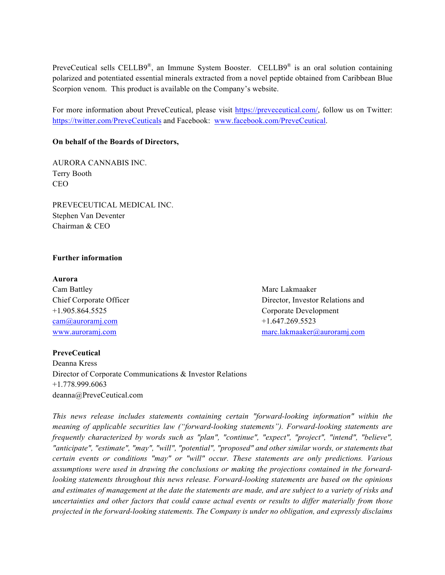PreveCeutical sells CELLB9<sup>®</sup>, an Immune System Booster. CELLB9<sup>®</sup> is an oral solution containing polarized and potentiated essential minerals extracted from a novel peptide obtained from Caribbean Blue Scorpion venom. This product is available on the Company's website.

For more information about PreveCeutical, please visit https://preveceutical.com/, follow us on Twitter: https://twitter.com/PreveCeuticals and Facebook: www.facebook.com/PreveCeutical.

### **On behalf of the Boards of Directors,**

AURORA CANNABIS INC. Terry Booth CEO

PREVECEUTICAL MEDICAL INC. Stephen Van Deventer Chairman & CEO

#### **Further information**

#### **Aurora**

Cam Battley **Marc Lakmaaker** Marc Lakmaaker  $cam@aurorami.com$  +1.647.269.5523

Chief Corporate Officer Director, Investor Relations and +1.905.864.5525 Corporate Development www.auroramj.com marc.lakmaaker@auroramj.com

#### **PreveCeutical**

Deanna Kress Director of Corporate Communications & Investor Relations +1.778.999.6063 deanna@PreveCeutical.com

*This news release includes statements containing certain "forward-looking information" within the meaning of applicable securities law ("forward-looking statements"). Forward-looking statements are frequently characterized by words such as "plan", "continue", "expect", "project", "intend", "believe", "anticipate", "estimate", "may", "will", "potential", "proposed" and other similar words, or statements that certain events or conditions "may" or "will" occur. These statements are only predictions. Various assumptions were used in drawing the conclusions or making the projections contained in the forwardlooking statements throughout this news release. Forward-looking statements are based on the opinions and estimates of management at the date the statements are made, and are subject to a variety of risks and uncertainties and other factors that could cause actual events or results to differ materially from those projected in the forward-looking statements. The Company is under no obligation, and expressly disclaims*